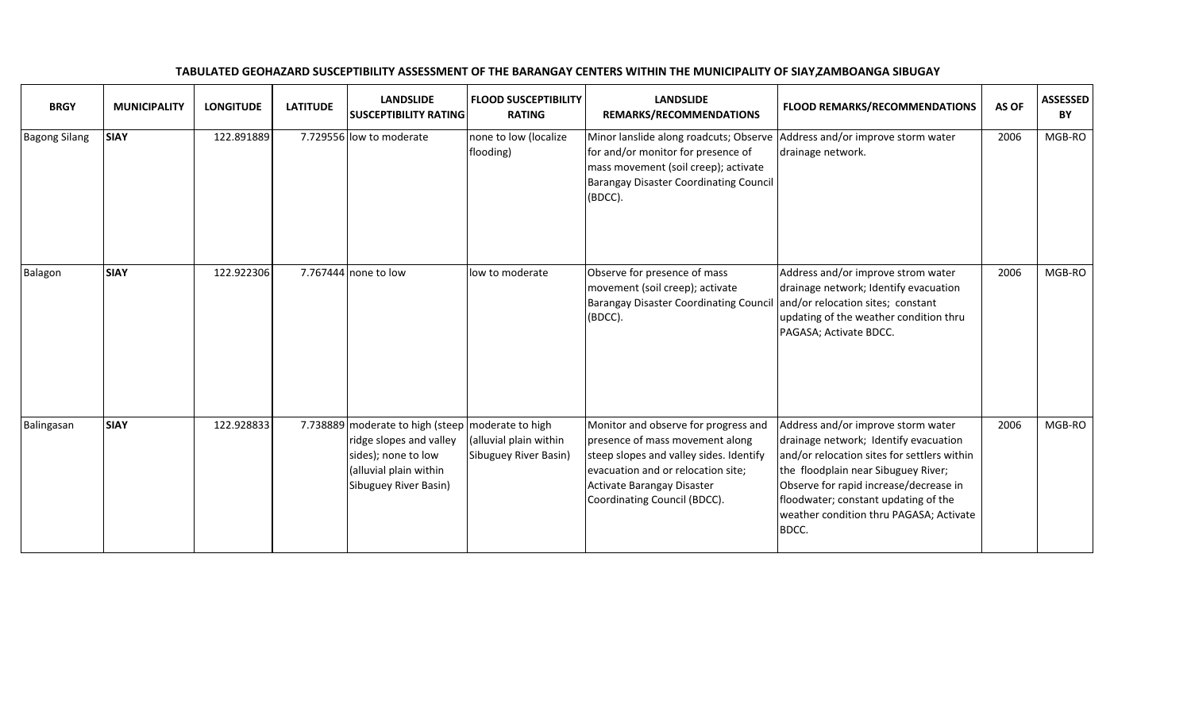| <b>BRGY</b>          | <b>MUNICIPALITY</b> | <b>LONGITUDE</b> | <b>LATITUDE</b> | <b>LANDSLIDE</b><br><b>SUSCEPTIBILITY RATING</b>                                                                                                       | <b>FLOOD SUSCEPTIBILITY</b><br><b>RATING</b>    | <b>LANDSLIDE</b><br>REMARKS/RECOMMENDATIONS                                                                                                                                                                            | <b>FLOOD REMARKS/RECOMMENDATIONS</b>                                                                                                                                                                                                                                                                    | AS OF | <b>ASSESSED</b><br>BY |
|----------------------|---------------------|------------------|-----------------|--------------------------------------------------------------------------------------------------------------------------------------------------------|-------------------------------------------------|------------------------------------------------------------------------------------------------------------------------------------------------------------------------------------------------------------------------|---------------------------------------------------------------------------------------------------------------------------------------------------------------------------------------------------------------------------------------------------------------------------------------------------------|-------|-----------------------|
| <b>Bagong Silang</b> | <b>SIAY</b>         | 122.891889       |                 | 7.729556 low to moderate                                                                                                                               | none to low (localize<br>flooding)              | Minor lanslide along roadcuts; Observe<br>for and/or monitor for presence of<br>mass movement (soil creep); activate<br><b>Barangay Disaster Coordinating Council</b><br>(BDCC).                                       | Address and/or improve storm water<br>drainage network.                                                                                                                                                                                                                                                 | 2006  | MGB-RO                |
| Balagon              | <b>SIAY</b>         | 122.922306       |                 | 7.767444 none to low                                                                                                                                   | low to moderate                                 | Observe for presence of mass<br>movement (soil creep); activate<br><b>Barangay Disaster Coordinating Council</b><br>(BDCC).                                                                                            | Address and/or improve strom water<br>drainage network; Identify evacuation<br>and/or relocation sites; constant<br>updating of the weather condition thru<br>PAGASA; Activate BDCC.                                                                                                                    | 2006  | MGB-RO                |
| Balingasan           | <b>SIAY</b>         | 122.928833       |                 | 7.738889 moderate to high (steep moderate to high<br>ridge slopes and valley<br>sides); none to low<br>(alluvial plain within<br>Sibuguey River Basin) | (alluvial plain within<br>Sibuguey River Basin) | Monitor and observe for progress and<br>presence of mass movement along<br>steep slopes and valley sides. Identify<br>evacuation and or relocation site;<br>Activate Barangay Disaster<br>Coordinating Council (BDCC). | Address and/or improve storm water<br>drainage network; Identify evacuation<br>and/or relocation sites for settlers within<br>the floodplain near Sibuguey River;<br>Observe for rapid increase/decrease in<br>floodwater; constant updating of the<br>weather condition thru PAGASA; Activate<br>BDCC. | 2006  | MGB-RO                |

TABULATED GEOHAZARD SUSCEPTIBILITY ASSESSMENT OF THE BARANGAY CENTERS WITHIN THE MUNICIPALITY OF SIAY, ZAMBOANGA SIBUGAY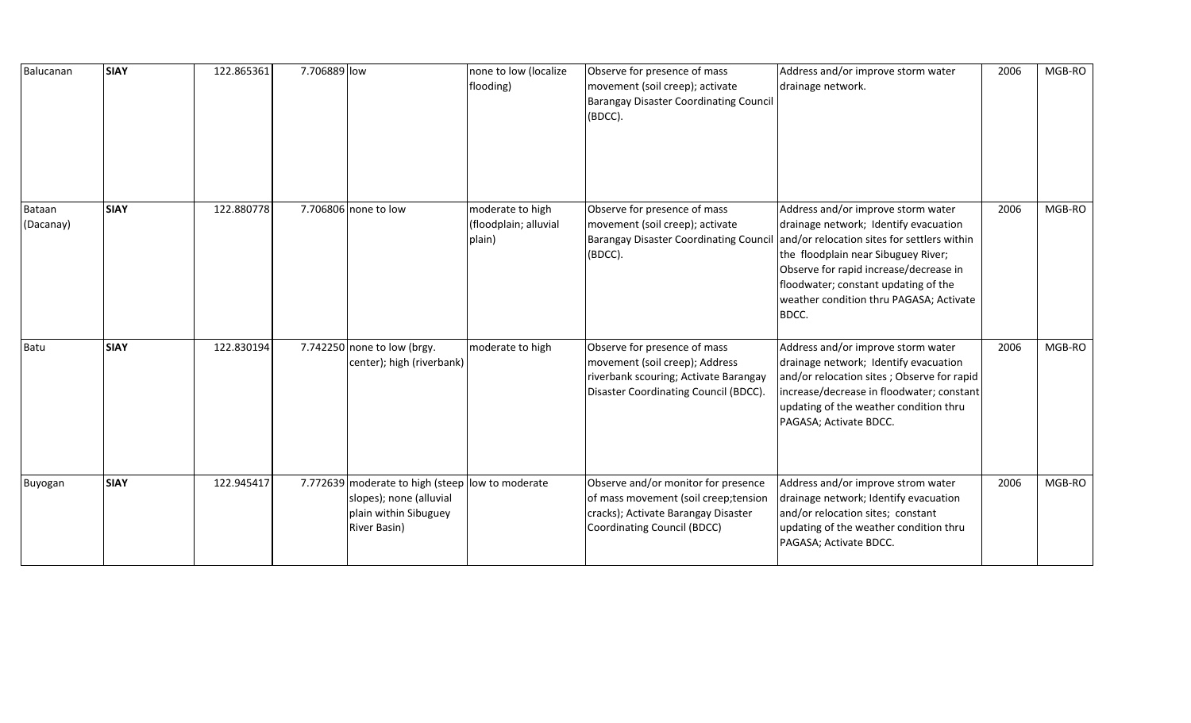| Balucanan           | <b>SIAY</b> | 122.865361 | 7.706889 low                                                                                                         | none to low (localize<br>flooding)                  | Observe for presence of mass<br>movement (soil creep); activate<br><b>Barangay Disaster Coordinating Council</b><br>(BDCC).                        | Address and/or improve storm water<br>drainage network.                                                                                                                                                                                                                                                 | 2006 | MGB-RO |
|---------------------|-------------|------------|----------------------------------------------------------------------------------------------------------------------|-----------------------------------------------------|----------------------------------------------------------------------------------------------------------------------------------------------------|---------------------------------------------------------------------------------------------------------------------------------------------------------------------------------------------------------------------------------------------------------------------------------------------------------|------|--------|
| Bataan<br>(Dacanay) | <b>SIAY</b> | 122.880778 | 7.706806 none to low                                                                                                 | moderate to high<br>(floodplain; alluvial<br>plain) | Observe for presence of mass<br>movement (soil creep); activate<br><b>Barangay Disaster Coordinating Council</b><br>(BDCC).                        | Address and/or improve storm water<br>drainage network; Identify evacuation<br>and/or relocation sites for settlers within<br>the floodplain near Sibuguey River;<br>Observe for rapid increase/decrease in<br>floodwater; constant updating of the<br>weather condition thru PAGASA; Activate<br>BDCC. | 2006 | MGB-RO |
| Batu                | <b>SIAY</b> | 122.830194 | 7.742250 none to low (brgy.<br>center); high (riverbank)                                                             | moderate to high                                    | Observe for presence of mass<br>movement (soil creep); Address<br>riverbank scouring; Activate Barangay<br>Disaster Coordinating Council (BDCC).   | Address and/or improve storm water<br>drainage network; Identify evacuation<br>and/or relocation sites; Observe for rapid<br>increase/decrease in floodwater; constant<br>updating of the weather condition thru<br>PAGASA; Activate BDCC.                                                              | 2006 | MGB-RO |
| Buyogan             | <b>SIAY</b> | 122.945417 | 7.772639 moderate to high (steep low to moderate<br>slopes); none (alluvial<br>plain within Sibuguey<br>River Basin) |                                                     | Observe and/or monitor for presence<br>of mass movement (soil creep; tension<br>cracks); Activate Barangay Disaster<br>Coordinating Council (BDCC) | Address and/or improve strom water<br>drainage network; Identify evacuation<br>and/or relocation sites; constant<br>updating of the weather condition thru<br>PAGASA; Activate BDCC.                                                                                                                    | 2006 | MGB-RO |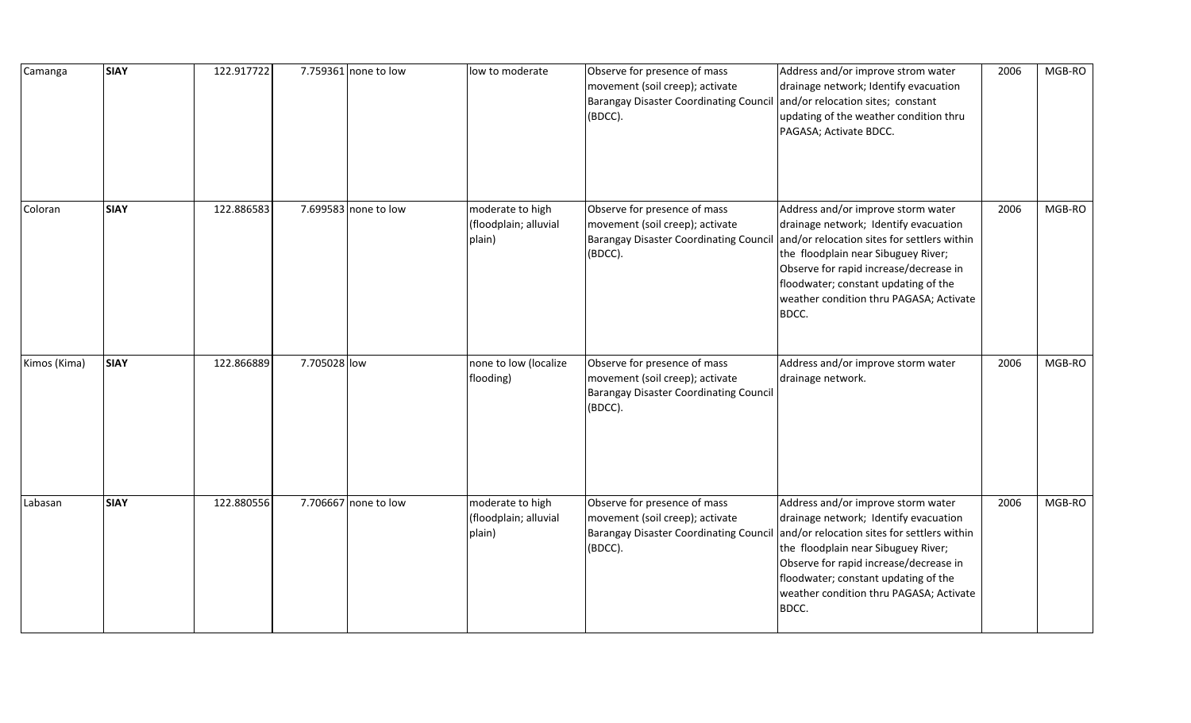| Camanga      | <b>SIAY</b> | 122.917722 |              | 7.759361 none to low | low to moderate                                     | Observe for presence of mass<br>movement (soil creep); activate<br>Barangay Disaster Coordinating Council<br>(BDCC).        | Address and/or improve strom water<br>drainage network; Identify evacuation<br>and/or relocation sites; constant<br>updating of the weather condition thru<br>PAGASA; Activate BDCC.                                                                                                                    | 2006 | MGB-RO |
|--------------|-------------|------------|--------------|----------------------|-----------------------------------------------------|-----------------------------------------------------------------------------------------------------------------------------|---------------------------------------------------------------------------------------------------------------------------------------------------------------------------------------------------------------------------------------------------------------------------------------------------------|------|--------|
| Coloran      | <b>SIAY</b> | 122.886583 |              | 7.699583 none to low | moderate to high<br>(floodplain; alluvial<br>plain) | Observe for presence of mass<br>movement (soil creep); activate<br><b>Barangay Disaster Coordinating Council</b><br>(BDCC). | Address and/or improve storm water<br>drainage network; Identify evacuation<br>and/or relocation sites for settlers within<br>the floodplain near Sibuguey River;<br>Observe for rapid increase/decrease in<br>floodwater; constant updating of the<br>weather condition thru PAGASA; Activate<br>BDCC. | 2006 | MGB-RO |
| Kimos (Kima) | <b>SIAY</b> | 122.866889 | 7.705028 low |                      | none to low (localize<br>flooding)                  | Observe for presence of mass<br>movement (soil creep); activate<br>Barangay Disaster Coordinating Council<br>(BDCC).        | Address and/or improve storm water<br>drainage network.                                                                                                                                                                                                                                                 | 2006 | MGB-RO |
| Labasan      | <b>SIAY</b> | 122.880556 |              | 7.706667 none to low | moderate to high<br>(floodplain; alluvial<br>plain) | Observe for presence of mass<br>movement (soil creep); activate<br><b>Barangay Disaster Coordinating Council</b><br>(BDCC). | Address and/or improve storm water<br>drainage network; Identify evacuation<br>and/or relocation sites for settlers within<br>the floodplain near Sibuguey River;<br>Observe for rapid increase/decrease in<br>floodwater; constant updating of the<br>weather condition thru PAGASA; Activate<br>BDCC. | 2006 | MGB-RO |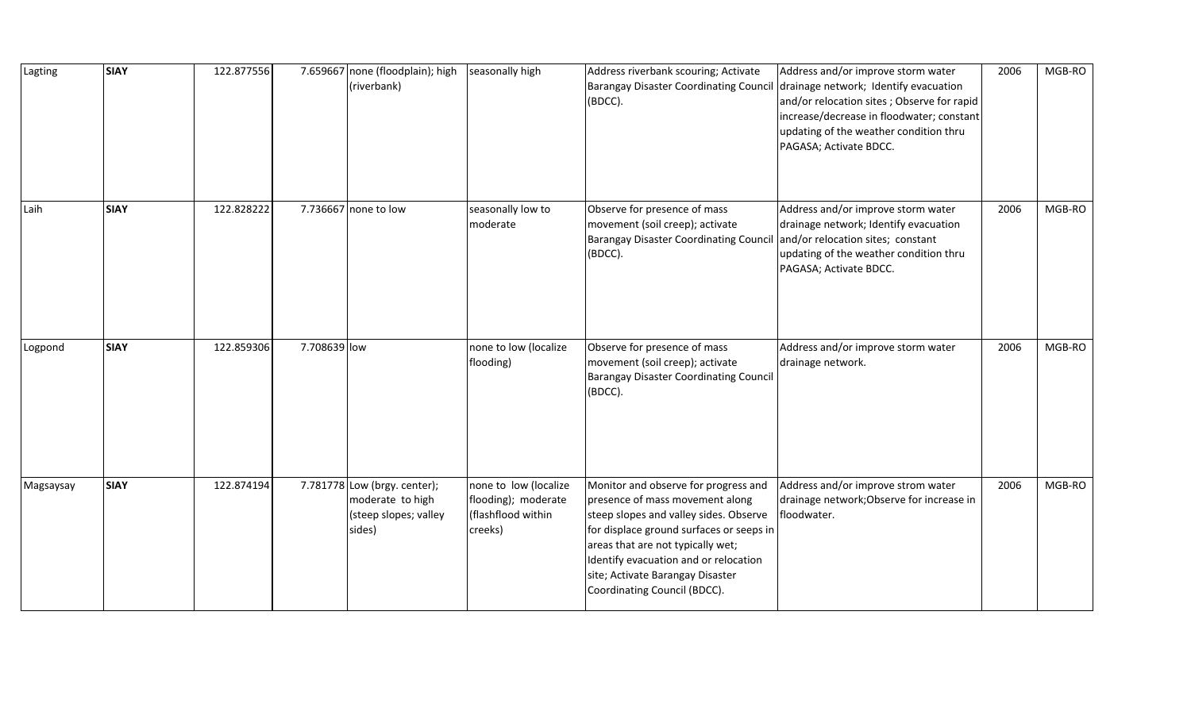| Lagting   | <b>SIAY</b> | 122.877556 | 7.659667 none (floodplain); high<br>(riverbank)                                     | seasonally high                                                               | Address riverbank scouring; Activate<br><b>Barangay Disaster Coordinating Council</b><br>(BDCC).                                                                                                                                                                                                                | Address and/or improve storm water<br>drainage network; Identify evacuation<br>and/or relocation sites; Observe for rapid<br>increase/decrease in floodwater; constant<br>updating of the weather condition thru<br>PAGASA; Activate BDCC. | 2006 | MGB-RO |
|-----------|-------------|------------|-------------------------------------------------------------------------------------|-------------------------------------------------------------------------------|-----------------------------------------------------------------------------------------------------------------------------------------------------------------------------------------------------------------------------------------------------------------------------------------------------------------|--------------------------------------------------------------------------------------------------------------------------------------------------------------------------------------------------------------------------------------------|------|--------|
| Laih      | <b>SIAY</b> | 122.828222 | 7.736667 none to low                                                                | seasonally low to<br>moderate                                                 | Observe for presence of mass<br>movement (soil creep); activate<br><b>Barangay Disaster Coordinating Council</b><br>(BDCC).                                                                                                                                                                                     | Address and/or improve storm water<br>drainage network; Identify evacuation<br>and/or relocation sites; constant<br>updating of the weather condition thru<br>PAGASA; Activate BDCC.                                                       | 2006 | MGB-RO |
| Logpond   | <b>SIAY</b> | 122.859306 | 7.708639 low                                                                        | none to low (localize<br>flooding)                                            | Observe for presence of mass<br>movement (soil creep); activate<br><b>Barangay Disaster Coordinating Council</b><br>(BDCC).                                                                                                                                                                                     | Address and/or improve storm water<br>drainage network.                                                                                                                                                                                    | 2006 | MGB-RO |
| Magsaysay | <b>SIAY</b> | 122.874194 | 7.781778 Low (brgy. center);<br>moderate to high<br>(steep slopes; valley<br>sides) | none to low (localize<br>flooding); moderate<br>(flashflood within<br>creeks) | Monitor and observe for progress and<br>presence of mass movement along<br>steep slopes and valley sides. Observe<br>for displace ground surfaces or seeps in<br>areas that are not typically wet;<br>Identify evacuation and or relocation<br>site; Activate Barangay Disaster<br>Coordinating Council (BDCC). | Address and/or improve strom water<br>drainage network; Observe for increase in<br>floodwater.                                                                                                                                             | 2006 | MGB-RO |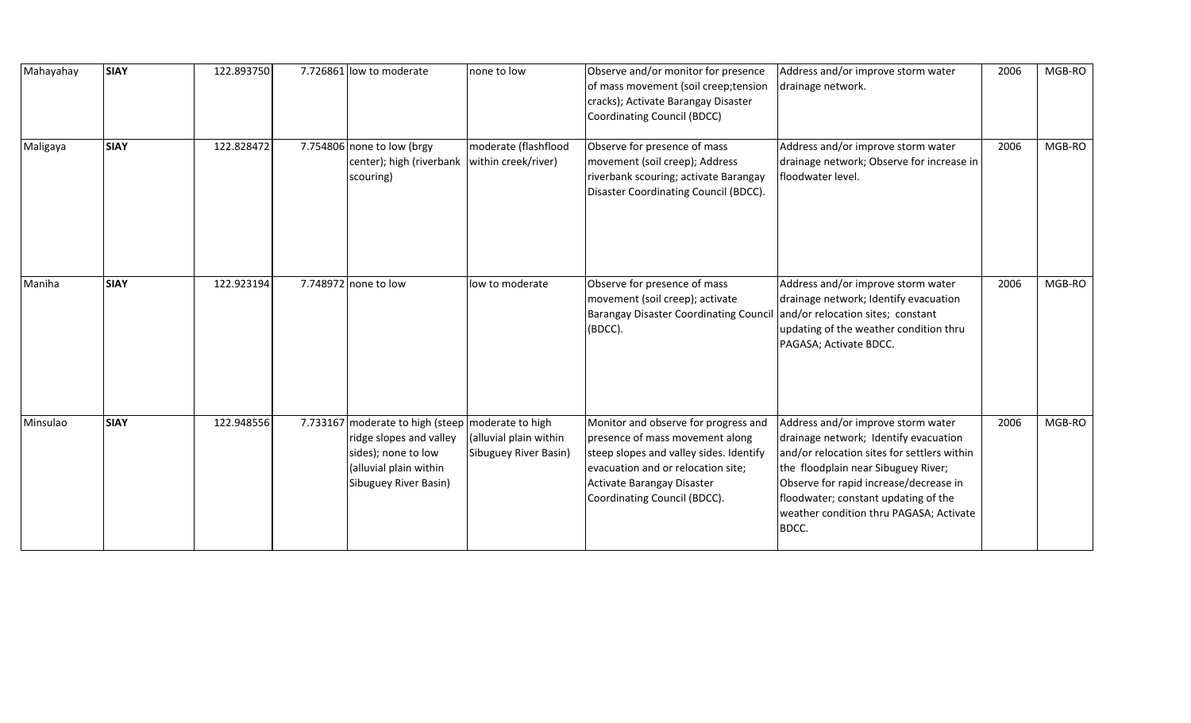| Mahayahay | <b>SIAY</b> | 122.893750 | 7.726861 low to moderate                                                                                                                                 | none to low                                     | Observe and/or monitor for presence<br>of mass movement (soil creep; tension<br>cracks); Activate Barangay Disaster<br>Coordinating Council (BDCC)                                                                     | Address and/or improve storm water<br>drainage network.                                                                                                                                                                                                                                                 | 2006 | MGB-RO |
|-----------|-------------|------------|----------------------------------------------------------------------------------------------------------------------------------------------------------|-------------------------------------------------|------------------------------------------------------------------------------------------------------------------------------------------------------------------------------------------------------------------------|---------------------------------------------------------------------------------------------------------------------------------------------------------------------------------------------------------------------------------------------------------------------------------------------------------|------|--------|
| Maligaya  | <b>SIAY</b> | 122.828472 | 7.754806 none to low (brgy<br>center); high (riverbank<br>scouring)                                                                                      | moderate (flashflood<br>within creek/river)     | Observe for presence of mass<br>movement (soil creep); Address<br>riverbank scouring; activate Barangay<br>Disaster Coordinating Council (BDCC).                                                                       | Address and/or improve storm water<br>drainage network; Observe for increase in<br>floodwater level.                                                                                                                                                                                                    | 2006 | MGB-RO |
| Maniha    | <b>SIAY</b> | 122.923194 | 7.748972 none to low                                                                                                                                     | low to moderate                                 | Observe for presence of mass<br>movement (soil creep); activate<br><b>Barangay Disaster Coordinating Council</b><br>(BDCC).                                                                                            | Address and/or improve storm water<br>drainage network; Identify evacuation<br>and/or relocation sites; constant<br>updating of the weather condition thru<br>PAGASA; Activate BDCC.                                                                                                                    | 2006 | MGB-RO |
| Minsulao  | <b>SIAY</b> | 122.948556 | 7.733167 moderate to high (steep   moderate to high<br>ridge slopes and valley<br>sides); none to low<br>(alluvial plain within<br>Sibuguey River Basin) | (alluvial plain within<br>Sibuguey River Basin) | Monitor and observe for progress and<br>presence of mass movement along<br>steep slopes and valley sides. Identify<br>evacuation and or relocation site;<br>Activate Barangay Disaster<br>Coordinating Council (BDCC). | Address and/or improve storm water<br>drainage network; Identify evacuation<br>and/or relocation sites for settlers within<br>the floodplain near Sibuguey River;<br>Observe for rapid increase/decrease in<br>floodwater; constant updating of the<br>weather condition thru PAGASA; Activate<br>BDCC. | 2006 | MGB-RO |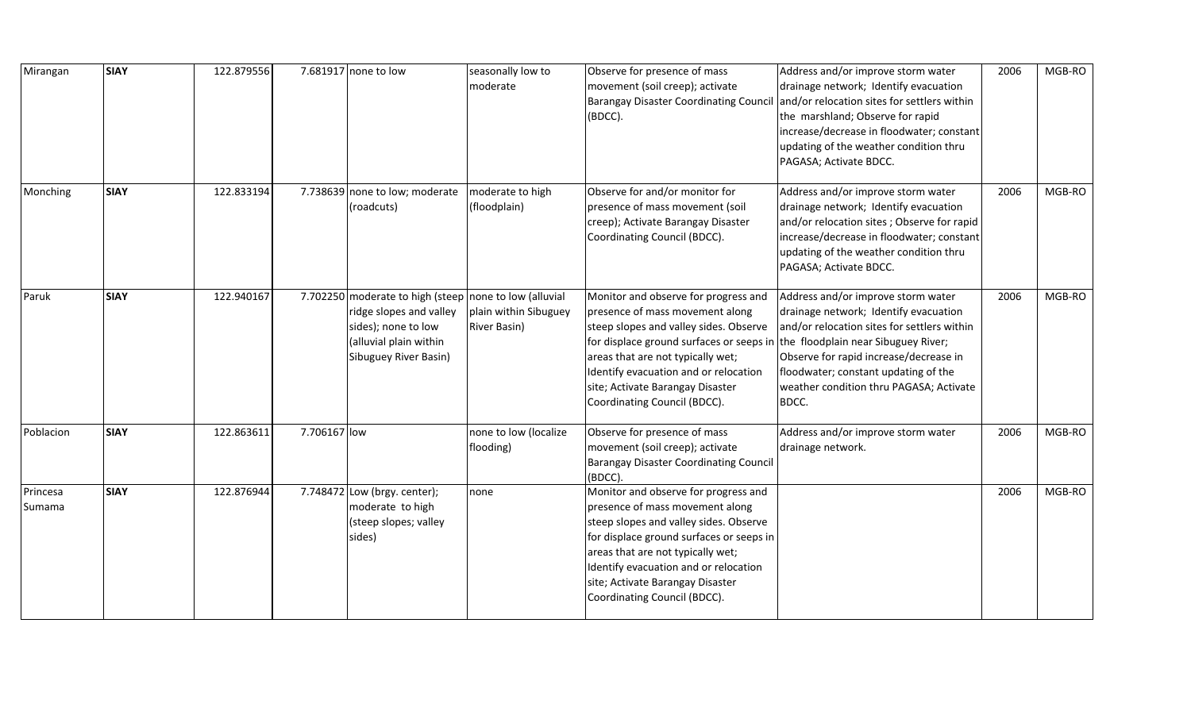| Mirangan           | <b>SIAY</b> | 122.879556 |              | 7.681917 none to low                                                                                                                                        | seasonally low to<br>moderate                | Observe for presence of mass<br>movement (soil creep); activate<br><b>Barangay Disaster Coordinating Counci</b><br>(BDCC).                                                                                                                                                                                      | Address and/or improve storm water<br>drainage network; Identify evacuation<br>and/or relocation sites for settlers within<br>the marshland; Observe for rapid<br>increase/decrease in floodwater; constant<br>updating of the weather condition thru<br>PAGASA; Activate BDCC.                         | 2006 | MGB-RO |
|--------------------|-------------|------------|--------------|-------------------------------------------------------------------------------------------------------------------------------------------------------------|----------------------------------------------|-----------------------------------------------------------------------------------------------------------------------------------------------------------------------------------------------------------------------------------------------------------------------------------------------------------------|---------------------------------------------------------------------------------------------------------------------------------------------------------------------------------------------------------------------------------------------------------------------------------------------------------|------|--------|
| Monching           | <b>SIAY</b> | 122.833194 |              | 7.738639 none to low; moderate<br>(roadcuts)                                                                                                                | moderate to high<br>(floodplain)             | Observe for and/or monitor for<br>presence of mass movement (soil<br>creep); Activate Barangay Disaster<br>Coordinating Council (BDCC).                                                                                                                                                                         | Address and/or improve storm water<br>drainage network; Identify evacuation<br>and/or relocation sites; Observe for rapid<br>increase/decrease in floodwater; constant<br>updating of the weather condition thru<br>PAGASA; Activate BDCC.                                                              | 2006 | MGB-RO |
| Paruk              | <b>SIAY</b> | 122.940167 |              | 7.702250 moderate to high (steep none to low (alluvial<br>ridge slopes and valley<br>sides); none to low<br>(alluvial plain within<br>Sibuguey River Basin) | plain within Sibuguey<br><b>River Basin)</b> | Monitor and observe for progress and<br>presence of mass movement along<br>steep slopes and valley sides. Observe<br>for displace ground surfaces or seeps in<br>areas that are not typically wet;<br>Identify evacuation and or relocation<br>site; Activate Barangay Disaster<br>Coordinating Council (BDCC). | Address and/or improve storm water<br>drainage network; Identify evacuation<br>and/or relocation sites for settlers within<br>the floodplain near Sibuguey River;<br>Observe for rapid increase/decrease in<br>floodwater; constant updating of the<br>weather condition thru PAGASA; Activate<br>BDCC. | 2006 | MGB-RO |
| Poblacion          | <b>SIAY</b> | 122.863611 | 7.706167 low |                                                                                                                                                             | none to low (localize<br>flooding)           | Observe for presence of mass<br>movement (soil creep); activate<br><b>Barangay Disaster Coordinating Council</b><br>(BDCC).                                                                                                                                                                                     | Address and/or improve storm water<br>drainage network.                                                                                                                                                                                                                                                 | 2006 | MGB-RO |
| Princesa<br>Sumama | <b>SIAY</b> | 122.876944 |              | 7.748472 Low (brgy. center);<br>moderate to high<br>(steep slopes; valley<br>sides)                                                                         | none                                         | Monitor and observe for progress and<br>presence of mass movement along<br>steep slopes and valley sides. Observe<br>for displace ground surfaces or seeps in<br>areas that are not typically wet;<br>Identify evacuation and or relocation<br>site; Activate Barangay Disaster<br>Coordinating Council (BDCC). |                                                                                                                                                                                                                                                                                                         | 2006 | MGB-RO |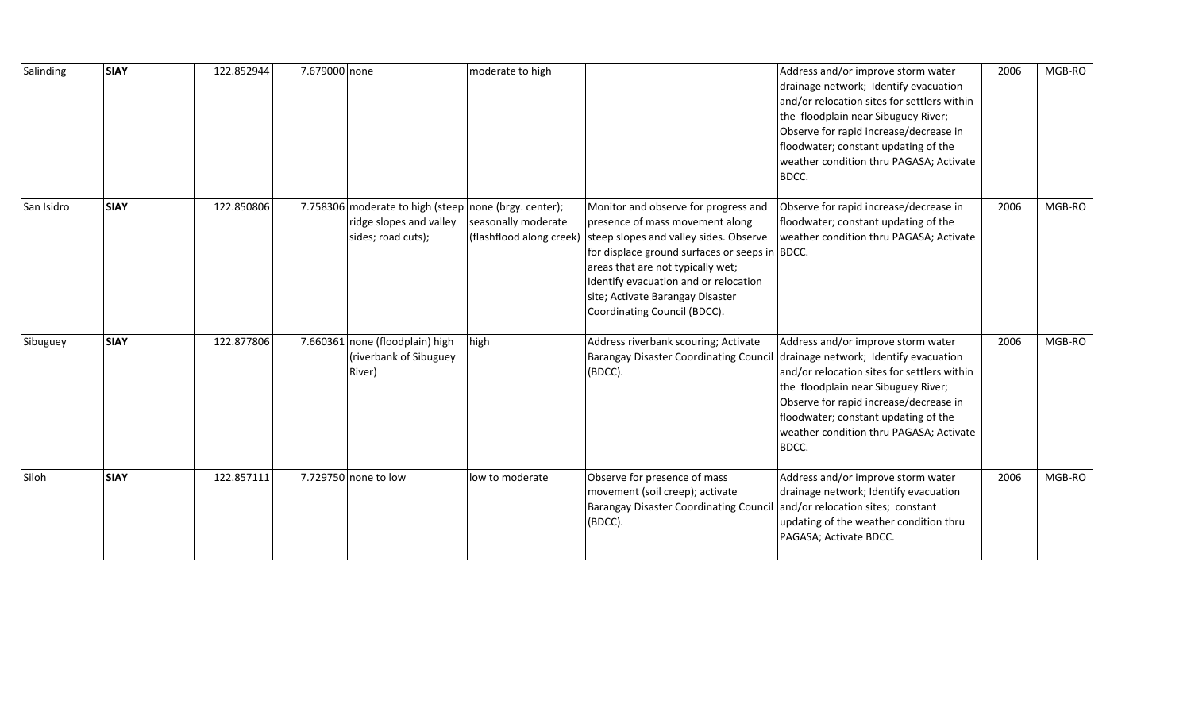| Salinding  | <b>SIAY</b> | 122.852944 | 7.679000 none |                                                                                                        | moderate to high                                |                                                                                                                                                                                                                                                                                                                       | Address and/or improve storm water<br>drainage network; Identify evacuation<br>and/or relocation sites for settlers within<br>the floodplain near Sibuguey River;<br>Observe for rapid increase/decrease in<br>floodwater; constant updating of the<br>weather condition thru PAGASA; Activate<br>BDCC. | 2006 | MGB-RO |
|------------|-------------|------------|---------------|--------------------------------------------------------------------------------------------------------|-------------------------------------------------|-----------------------------------------------------------------------------------------------------------------------------------------------------------------------------------------------------------------------------------------------------------------------------------------------------------------------|---------------------------------------------------------------------------------------------------------------------------------------------------------------------------------------------------------------------------------------------------------------------------------------------------------|------|--------|
| San Isidro | <b>SIAY</b> | 122.850806 |               | 7.758306 moderate to high (steep none (brgy. center);<br>ridge slopes and valley<br>sides; road cuts); | seasonally moderate<br>(flashflood along creek) | Monitor and observe for progress and<br>presence of mass movement along<br>steep slopes and valley sides. Observe<br>for displace ground surfaces or seeps in BDCC.<br>areas that are not typically wet;<br>Identify evacuation and or relocation<br>site; Activate Barangay Disaster<br>Coordinating Council (BDCC). | Observe for rapid increase/decrease in<br>floodwater; constant updating of the<br>weather condition thru PAGASA; Activate                                                                                                                                                                               | 2006 | MGB-RO |
| Sibuguey   | <b>SIAY</b> | 122.877806 |               | 7.660361 none (floodplain) high<br>(riverbank of Sibuguey<br>River)                                    | high                                            | Address riverbank scouring; Activate<br><b>Barangay Disaster Coordinating Council</b><br>(BDCC).                                                                                                                                                                                                                      | Address and/or improve storm water<br>drainage network; Identify evacuation<br>and/or relocation sites for settlers within<br>the floodplain near Sibuguey River;<br>Observe for rapid increase/decrease in<br>floodwater; constant updating of the<br>weather condition thru PAGASA; Activate<br>BDCC. | 2006 | MGB-RO |
| Siloh      | <b>SIAY</b> | 122.857111 |               | 7.729750 none to low                                                                                   | low to moderate                                 | Observe for presence of mass<br>movement (soil creep); activate<br><b>Barangay Disaster Coordinating Counci</b><br>(BDCC).                                                                                                                                                                                            | Address and/or improve storm water<br>drainage network; Identify evacuation<br>and/or relocation sites; constant<br>updating of the weather condition thru<br>PAGASA; Activate BDCC.                                                                                                                    | 2006 | MGB-RO |